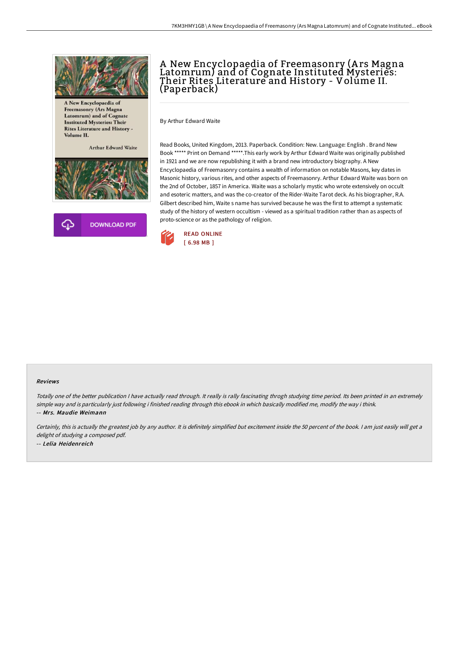

A New Encyclopaedia of Freemasonry (Ars Magna Latomrum) and of Cognate **Instituted Mysteries: Their Rites Literature and History -**Volume II.

Arthur Edward Waite





## A New Encyclopaedia of Freemasonry (A rs Magna Latomrum) and of Cognate Instituted Mysteries: Their Rites Literature and History - Volume II. (Paperback)

By Arthur Edward Waite

Read Books, United Kingdom, 2013. Paperback. Condition: New. Language: English . Brand New Book \*\*\*\*\* Print on Demand \*\*\*\*\*.This early work by Arthur Edward Waite was originally published in 1921 and we are now republishing it with a brand new introductory biography. A New Encyclopaedia of Freemasonry contains a wealth of information on notable Masons, key dates in Masonic history, various rites, and other aspects of Freemasonry. Arthur Edward Waite was born on the 2nd of October, 1857 in America. Waite was a scholarly mystic who wrote extensively on occult and esoteric matters, and was the co-creator of the Rider-Waite Tarot deck. As his biographer, R.A. Gilbert described him, Waite s name has survived because he was the first to attempt a systematic study of the history of western occultism - viewed as a spiritual tradition rather than as aspects of proto-science or as the pathology of religion.



#### Reviews

Totally one of the better publication I have actually read through. It really is rally fascinating throgh studying time period. Its been printed in an extremely simple way and is particularly just following i finished reading through this ebook in which basically modified me, modify the way i think. -- Mrs. Maudie Weimann

Certainly, this is actually the greatest job by any author. It is definitely simplified but excitement inside the 50 percent of the book. I am just easily will get a delight of studying <sup>a</sup> composed pdf. -- Lelia Heidenreich